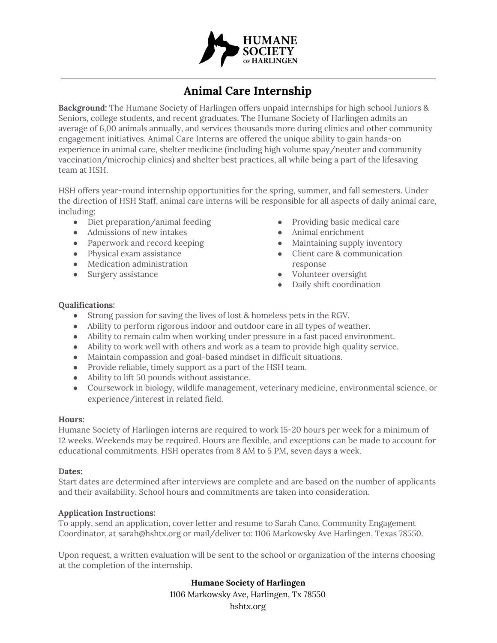

# **Animal Care Internship**

**Background:** The Humane Society of Harlingen offers unpaid internships for high school Juniors & Seniors, college students, and recent graduates. The Humane Society of Harlingen admits an average of 6,00 animals annually, and services thousands more during clinics and other community engagement initiatives. Animal Care Interns are offered the unique ability to gain hands-on experience in animal care, shelter medicine (including high volume spay/neuter and community vaccination/microchip clinics) and shelter best practices, all while being a part of the lifesaving team at HSH.

HSH offers year-round internship opportunities for the spring, summer, and fall semesters. Under the direction of HSH Staff, animal care interns will be responsible for all aspects of daily animal care, including:

- Diet preparation/animal feeding
- Admissions of new intakes
- Paperwork and record keeping
- Physical exam assistance
- Medication administration
- Surgery assistance
- Providing basic medical care
- Animal enrichment
- Maintaining supply inventory
- Client care & communication response
- Volunteer oversight
- Daily shift coordination

## **Qualifications:**

- Strong passion for saving the lives of lost & homeless pets in the RGV.
- Ability to perform rigorous indoor and outdoor care in all types of weather.
- Ability to remain calm when working under pressure in a fast paced environment.
- Ability to work well with others and work as a team to provide high quality service.
- Maintain compassion and goal-based mindset in difficult situations.
- Provide reliable, timely support as a part of the HSH team.
- Ability to lift 50 pounds without assistance.
- Coursework in biology, wildlife management, veterinary medicine, environmental science, or experience/interest in related field.

## **Hours:**

Humane Society of Harlingen interns are required to work 15-20 hours per week for a minimum of 12 weeks. Weekends may be required. Hours are flexible, and exceptions can be made to account for educational commitments. HSH operates from 8 AM to 5 PM, seven days a week.

#### **Dates:**

Start dates are determined after interviews are complete and are based on the number of applicants and their availability. School hours and commitments are taken into consideration.

## **Application Instructions:**

To apply, send an application, cover letter and resume to Sarah Cano, Community Engagement Coordinator, at sarah@hshtx.org or mail/deliver to: 1106 Markowsky Ave Harlingen, Texas 78550.

Upon request, a written evaluation will be sent to the school or organization of the interns choosing at the completion of the internship.

## **Humane Society of Harlingen**

1106 Markowsky Ave, Harlingen, Tx 78550 hshtx.org